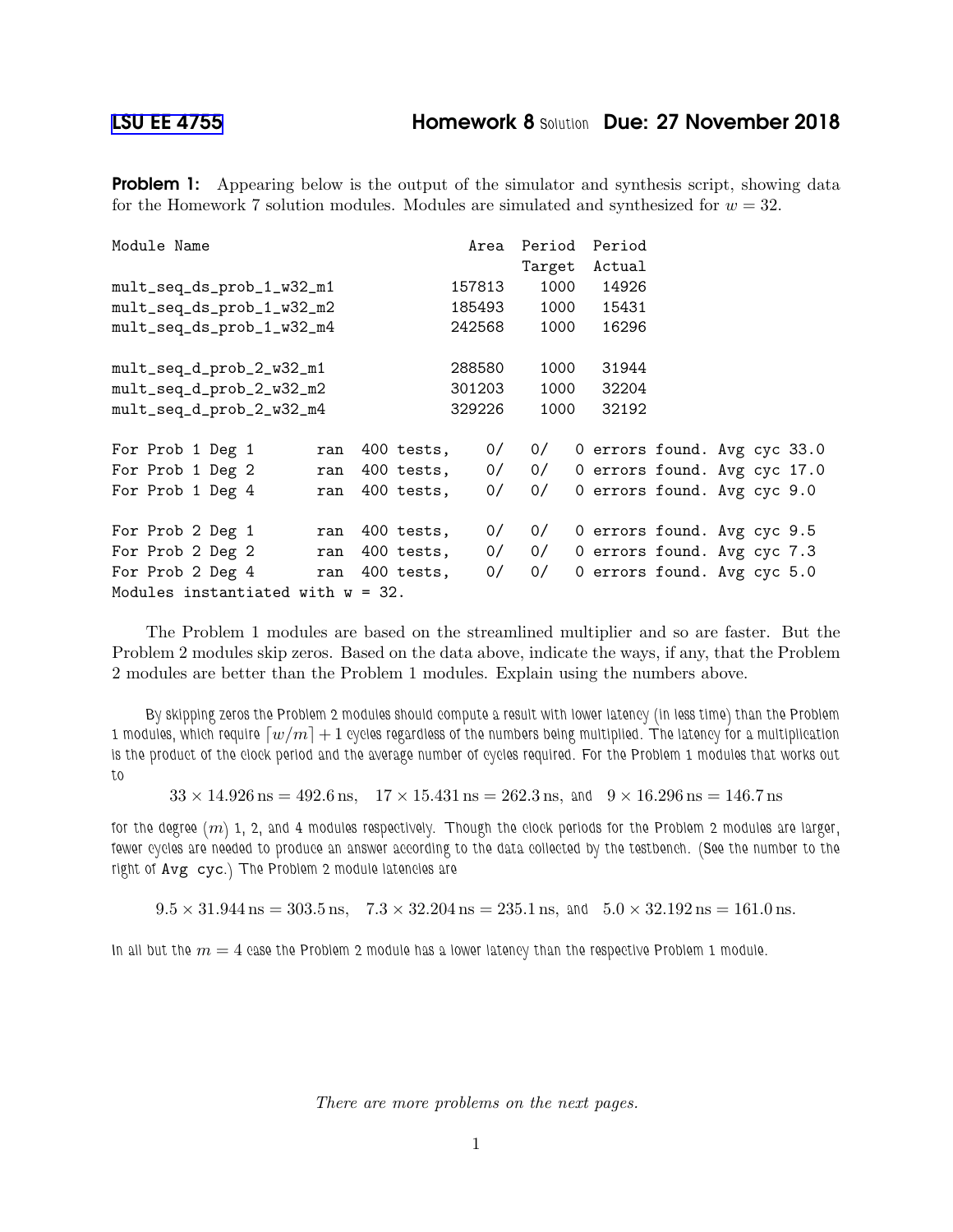**Problem 1:** Appearing below is the output of the simulator and synthesis script, showing data for the Homework 7 solution modules. Modules are simulated and synthesized for  $w = 32$ .

| Module Name                          | Area             | Period | Period |                              |
|--------------------------------------|------------------|--------|--------|------------------------------|
|                                      |                  | Target | Actual |                              |
| mult_seq_ds_prob_1_w32_m1            | 157813           | 1000   | 14926  |                              |
| mult_seq_ds_prob_1_w32_m2            | 185493           | 1000   | 15431  |                              |
| mult_seq_ds_prob_1_w32_m4            | 242568           | 1000   | 16296  |                              |
| mult_seq_d_prob_2_w32_m1             | 288580           | 1000   | 31944  |                              |
| mult_seq_d_prob_2_w32_m2             | 301203           | 1000   | 32204  |                              |
| mult_seq_d_prob_2_w32_m4             | 329226           | 1000   | 32192  |                              |
| For Prob 1 Deg 1<br>ran              | 0/<br>400 tests, | 0/     |        | 0 errors found. Avg cyc 33.0 |
| For Prob 1 Deg 2<br>ran              | 0/<br>400 tests, | 0/     |        | 0 errors found. Avg cyc 17.0 |
| For Prob 1 Deg 4<br>ran              | 0/<br>400 tests, | 0/     |        | 0 errors found. Avg cyc 9.0  |
| For Prob 2 Deg 1<br>ran              | 0/<br>400 tests, | 0/     |        | 0 errors found. Avg cyc 9.5  |
| For Prob 2 Deg 2<br>ran              | 400 tests,<br>0/ | 0/     |        | 0 errors found. Avg cyc 7.3  |
| For Prob 2 Deg 4<br>ran              | 400 tests,<br>0/ | 0/     |        | 0 errors found. Avg cyc 5.0  |
| Modules instantiated with $w = 32$ . |                  |        |        |                              |

The Problem 1 modules are based on the streamlined multiplier and so are faster. But the Problem 2 modules skip zeros. Based on the data above, indicate the ways, if any, that the Problem 2 modules are better than the Problem 1 modules. Explain using the numbers above.

By skipping zeros the Problem 2 modules should compute a result with lower latency (in less time) than the Problem 1 modules, which require  $\lceil w/m \rceil + 1$  cycles regardless of the numbers being multiplied. The latency for a multiplication is the product of the clock period and the average number of cycles required. For the Problem 1 modules that works out to

 $33 \times 14.926$  ns =  $492.6$  ns,  $17 \times 15.431$  ns =  $262.3$  ns, and  $9 \times 16.296$  ns =  $146.7$  ns

for the degree  $(m)$  1, 2, and 4 modules respectively. Though the clock periods for the Problem 2 modules are larger, fewer cycles are needed to produce an answer according to the data collected by the testbench. (See the number to the right of Avg cyc.) The Problem 2 module latencies are

 $9.5 \times 31.944$  ns = 303.5 ns,  $7.3 \times 32.204$  ns = 235.1 ns, and  $5.0 \times 32.192$  ns = 161.0 ns.

In all but the  $m = 4$  case the Problem 2 module has a lower latency than the respective Problem 1 module.

There are more problems on the next pages.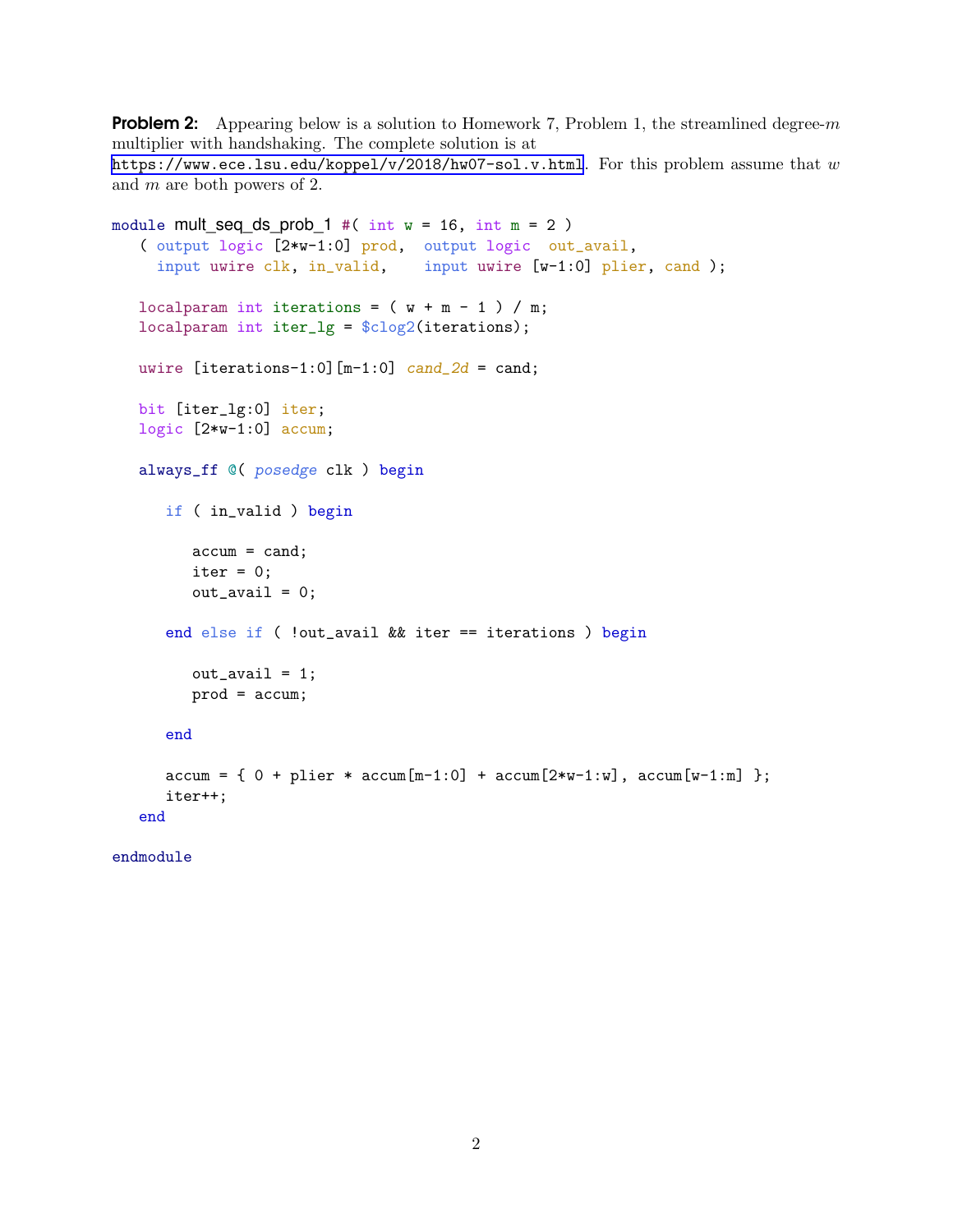**Problem 2:** Appearing below is a solution to Homework 7, Problem 1, the streamlined degree- $m$ multiplier with handshaking. The complete solution is at <https://www.ece.lsu.edu/koppel/v/2018/hw07-sol.v.html>. For this problem assume that  $w$ and m are both powers of 2.

```
module mult_seq_ds_prob_1 #( int w = 16, int m = 2 )
( output logic [2*w-1:0] prod, output logic out_avail,
  input uwire clk, in_valid, input uwire [w-1:0] plier, cand );
localparam int iterations = (w + m - 1) / m;
localparam int iter_lg = $clog2(iterations);
uwire [iterations-1:0] [m-1:0] cand_2d = cand;
bit [iter_lg:0] iter;
logic [2*w-1:0] accum;
always_ff @( posedge clk ) begin
   if ( in_valid ) begin
       \text{accum} = \text{cand};iter = 0;out_avail = 0;
   end else if ( !out_avail && iter == iterations ) begin
       out_avail = 1;
       prod = accum;
   end
   \text{accum} = \{ 0 + \text{plier} * \text{accum}[\text{m-1}:0] + \text{accum}[\text{2*w-1:w}], \text{accum}[\text{w-1:m}] \};
   iter++;
end
```
endmodule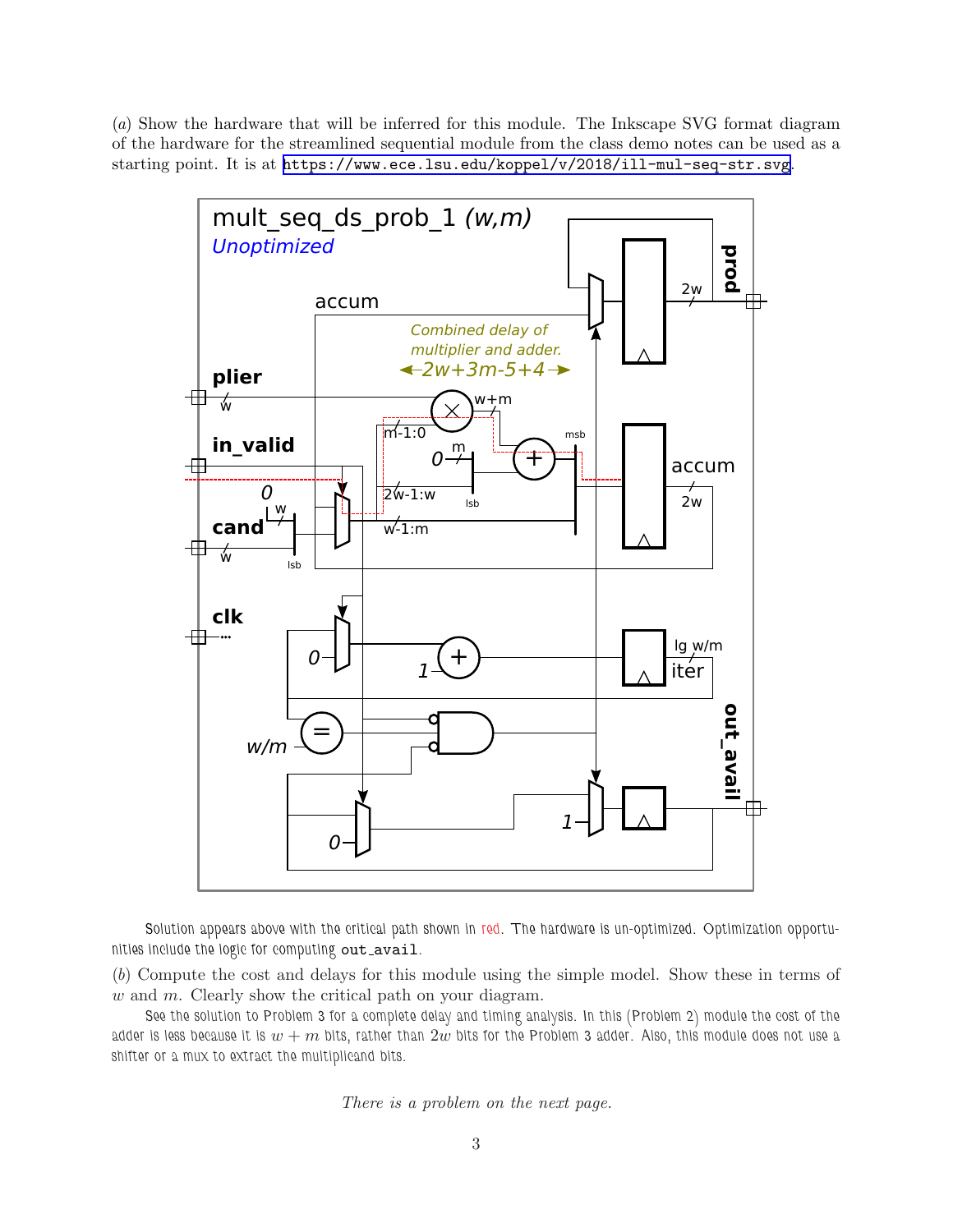(a) Show the hardware that will be inferred for this module. The Inkscape SVG format diagram of the hardware for the streamlined sequential module from the class demo notes can be used as a starting point. It is at <https://www.ece.lsu.edu/koppel/v/2018/ill-mul-seq-str.svg>.



Solution appears above with the critical path shown in red. The hardware is un-optimized. Optimization opportunities include the logic for computing out\_avail.

(b) Compute the cost and delays for this module using the simple model. Show these in terms of  $w$  and  $m$ . Clearly show the critical path on your diagram.

See the solution to Problem 3 for a complete delay and timing analysis. In this (Problem 2) module the cost of the adder is less because it is  $w + m$  bits, rather than  $2w$  bits for the Problem 3 adder. Also, this module does not use a shifter or a mux to extract the multiplicand bits.

There is a problem on the next page.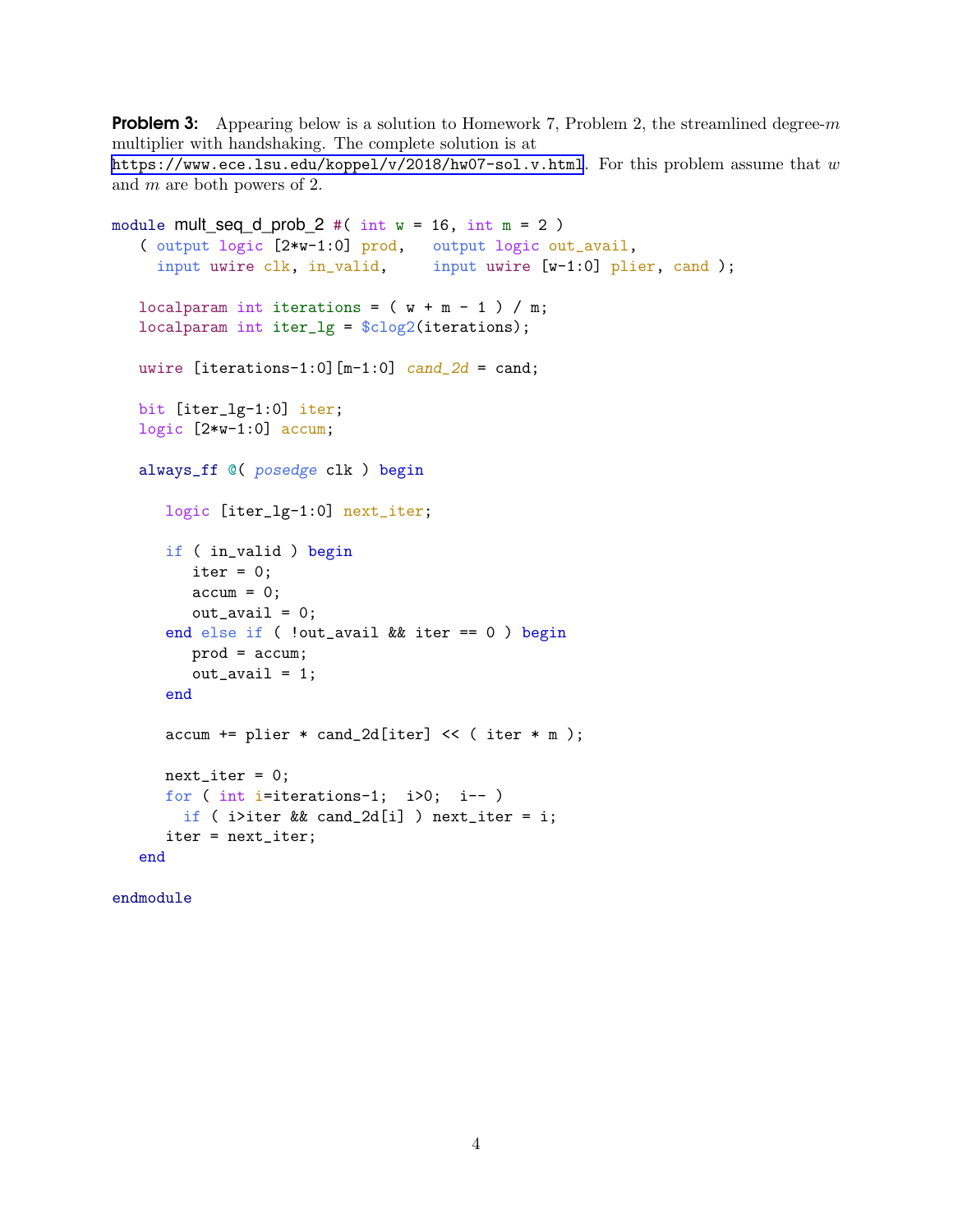**Problem 3:** Appearing below is a solution to Homework 7, Problem 2, the streamlined degree-m multiplier with handshaking. The complete solution is at <https://www.ece.lsu.edu/koppel/v/2018/hw07-sol.v.html>. For this problem assume that  $w$ and m are both powers of 2.

```
module mult_seq_d_prob_2 #( int w = 16, int m = 2)
( output logic [2*w-1:0] prod, output logic out_avail,
  input uwire \text{clk}, \text{ in\_valid}, \text{ input} uwire [w-1:0] plier, cand );
localparam int iterations = (w + m - 1) / m;
localparam int iter_lg = $clog2(iterations);
uwire [iterations-1:0] [m-1:0] cand_2d = cand;
bit [iter_lg-1:0] iter;
logic [2*w-1:0] accum;
always_ff @( posedge clk ) begin
   logic [iter_lg-1:0] next_iter;
   if ( in_valid ) begin
      iter = 0;\text{accum} = 0;out_avail = 0;
   end else if ( !out_avail && iter == 0 ) begin
      prod = accum;
      out_avail = 1;
   end
   accum += plier * cand_2d[iter] << ( iter * m );
   next\_iter = 0;for ( int i=iterations-1; i>0; i-- )
     if ( i>iter && cand_2d[i] ) next_iter = i;
   iter = next_iter;
end
```

```
endmodule
```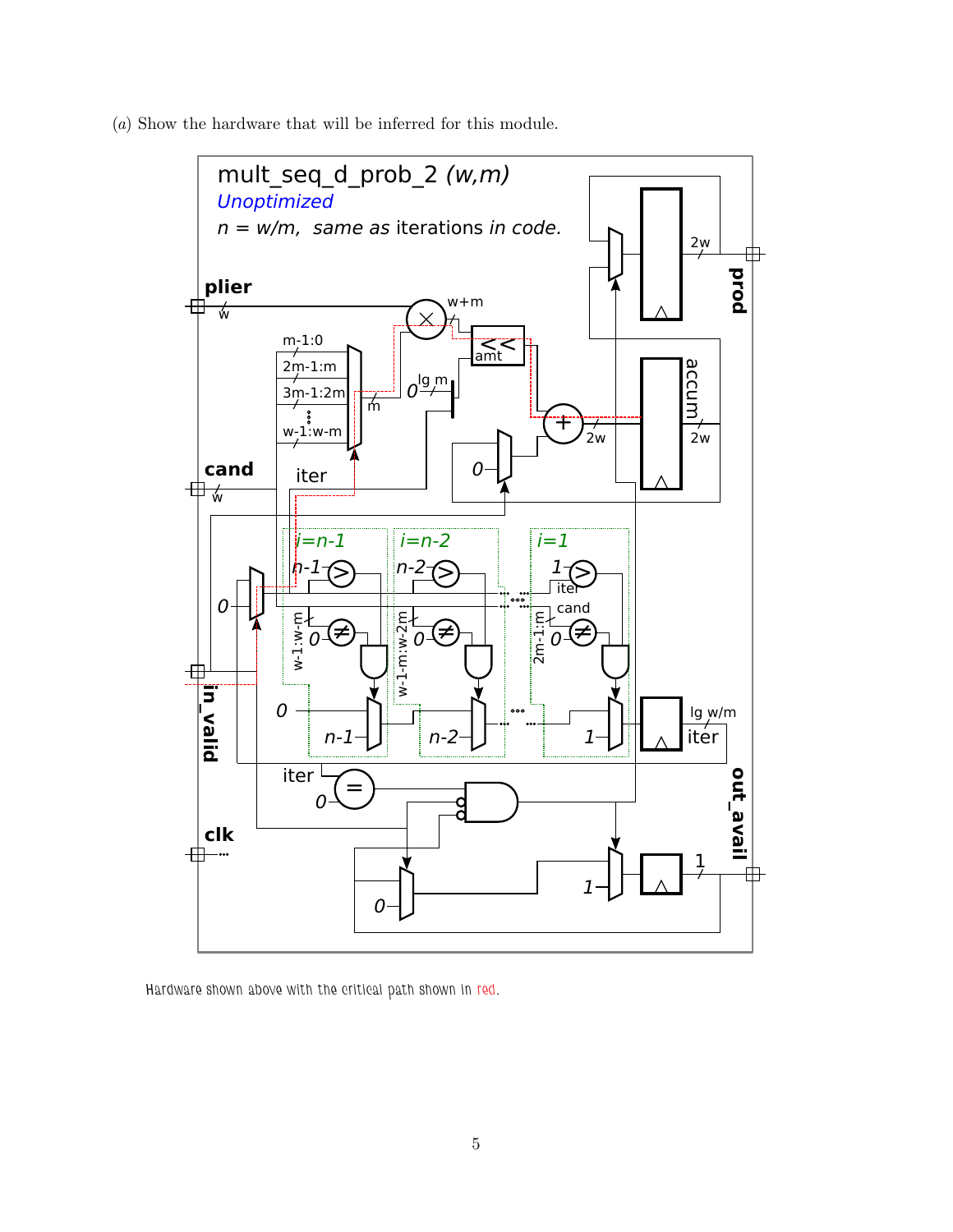(a) Show the hardware that will be inferred for this module.



Hardware shown above with the critical path shown in red.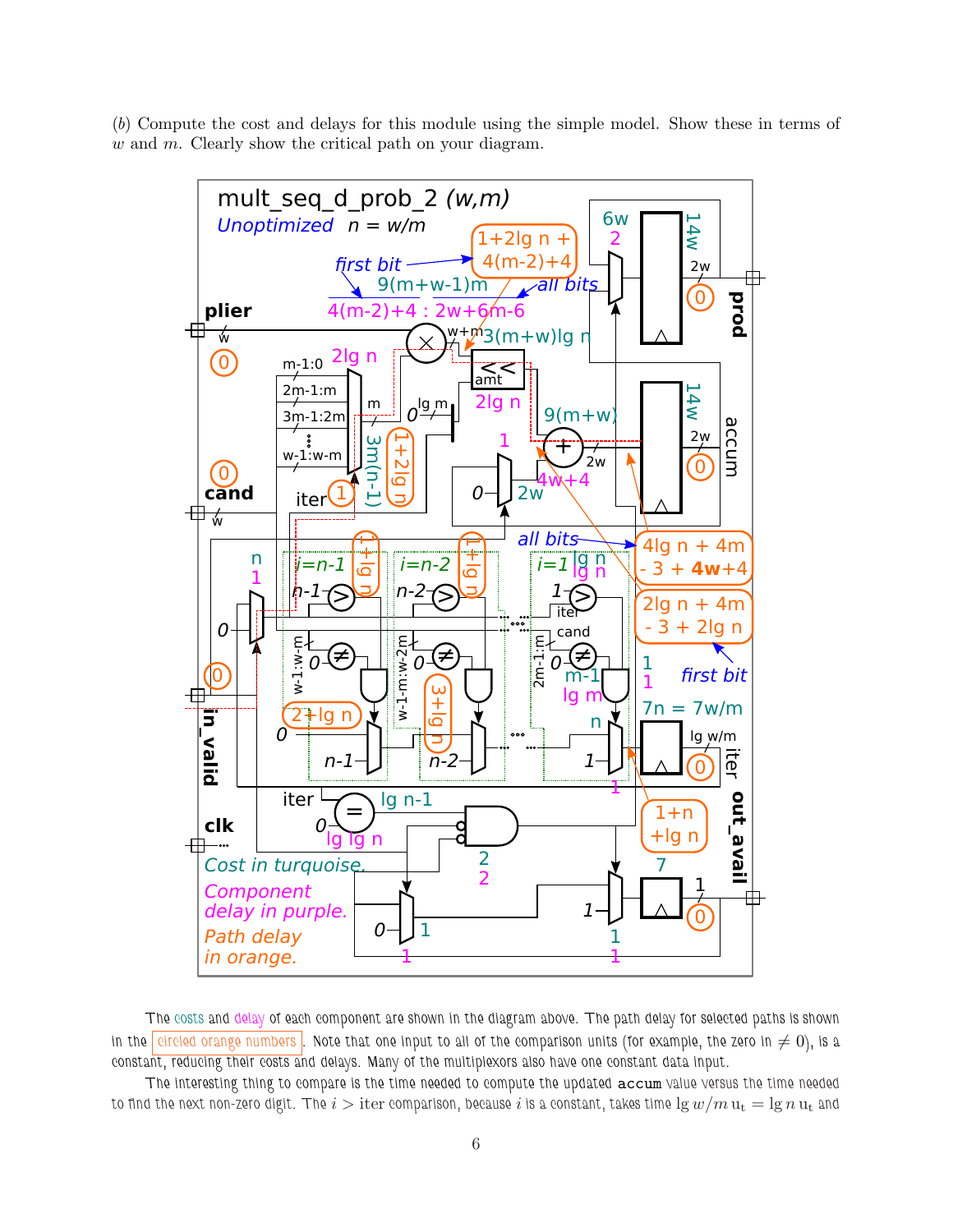(b) Compute the cost and delays for this module using the simple model. Show these in terms of  $w$  and  $m$ . Clearly show the critical path on your diagram.



The costs and delay of each component are shown in the diagram above. The path delay for selected paths is shown in the circled orange numbers . Note that one input to all of the comparison units (for example, the zero in  $\neq 0$ ), is a constant, reducing their costs and delays. Many of the multiplexors also have one constant data input.

The interesting thing to compare is the time needed to compute the updated accum value versus the time needed to find the next non-zero digit. The  $i >$  iter comparison, because  $i$  is a constant, takes time  $\lg w/m$   $\mathrm{u_{t}} = \lg n \, \mathrm{u_{t}}$  and